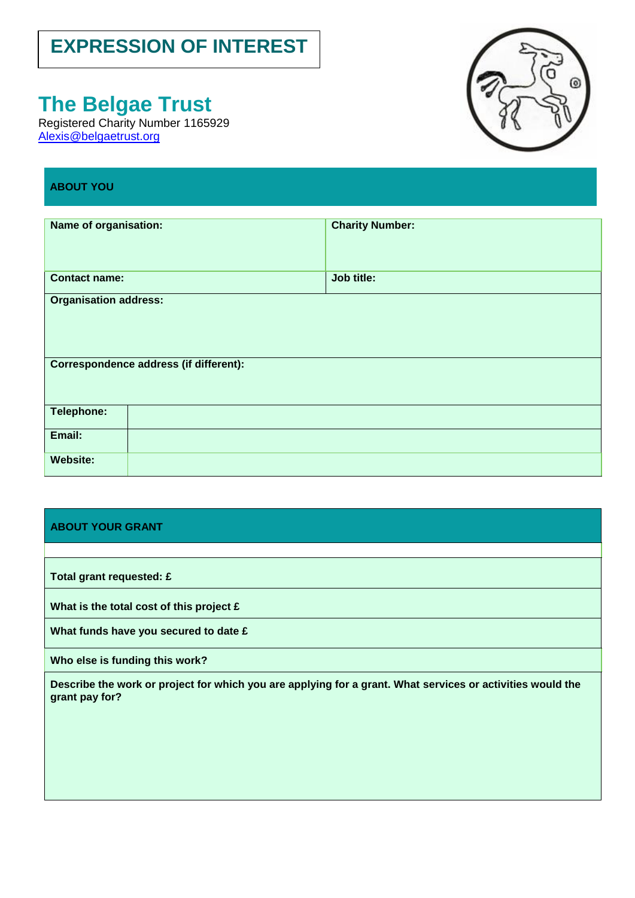# **EXPRESSION OF INTEREST**

# **The Belgae Trust**

Registered Charity Number 1165929 [Alexis@belgaetrust.org](mailto:Alexis@belgaetrust.org)



# **ABOUT YOU**

| Name of organisation:                                                  | <b>Charity Number:</b> |
|------------------------------------------------------------------------|------------------------|
| <b>Contact name:</b>                                                   | Job title:             |
| <b>Organisation address:</b><br>Correspondence address (if different): |                        |
| Telephone:                                                             |                        |
| Email:                                                                 |                        |
| <b>Website:</b>                                                        |                        |

## **ABOUT YOUR GRANT**

**Total grant requested: £**

**What is the total cost of this project £**

**What funds have you secured to date £**

**Who else is funding this work?**

**Describe the work or project for which you are applying for a grant. What services or activities would the grant pay for?**